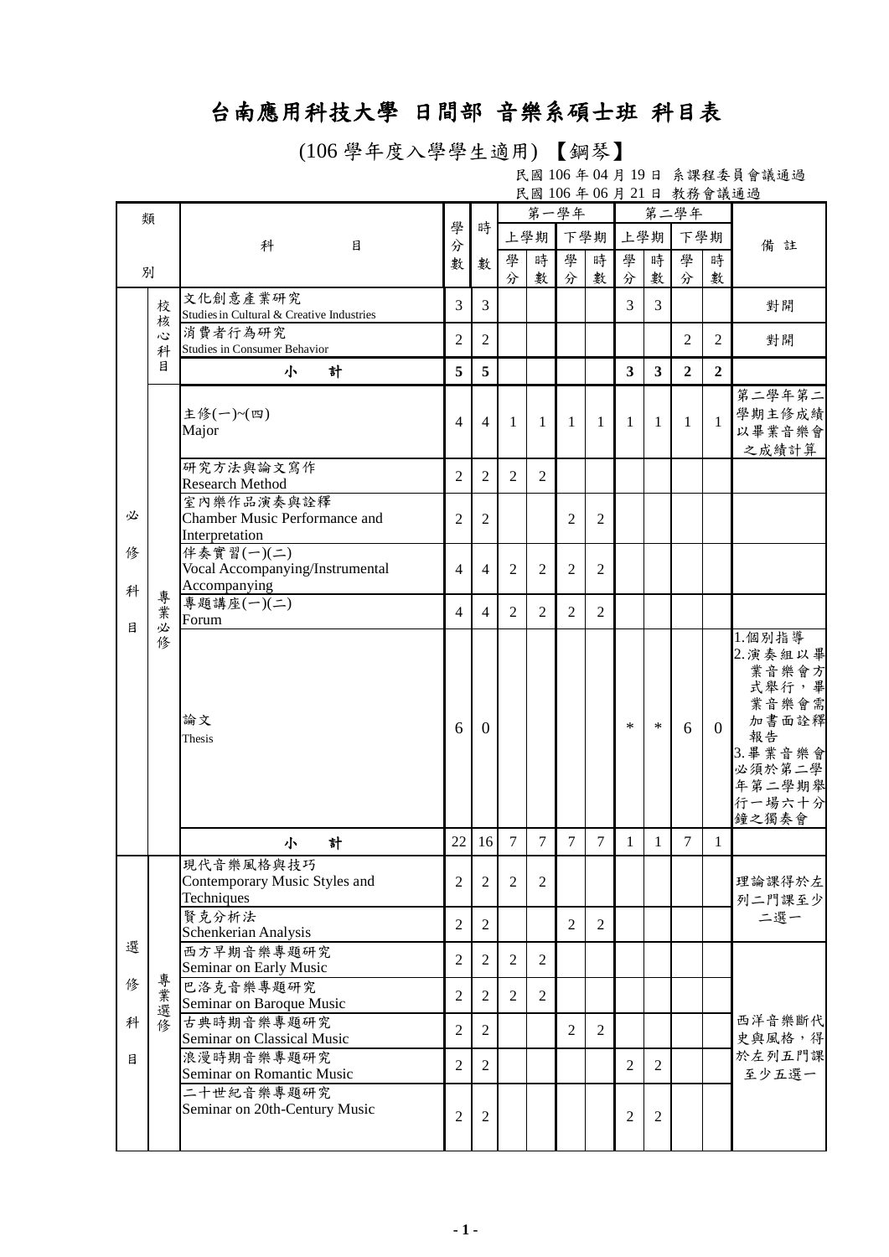## 台南應用科技大學 日間部 音樂系碩士班 科目表

(106 學年度入學學生適用) 【鋼琴】

民國 106 年 04 月 19 日 系課程委員會議通過 民國 106 年 06 月 21 日 教務會議通過

| 類      |        |                                                               |                |                | 第一學年           |                |                |                |                         | 第二學年           |                |                |                                                                                                                 |
|--------|--------|---------------------------------------------------------------|----------------|----------------|----------------|----------------|----------------|----------------|-------------------------|----------------|----------------|----------------|-----------------------------------------------------------------------------------------------------------------|
|        |        | 科<br>目                                                        | 學<br>分         | 時              |                | 上學期            |                | 下學期            |                         | 上學期            | 下學期            |                | 備註                                                                                                              |
|        |        |                                                               | 數              | 數              | 學              | 時              | 學              | 時              | 學                       | 時              | 學              | 時              |                                                                                                                 |
|        | 別      |                                                               |                |                | 分              | 數              | 分              | 數              | 分                       | 數              | 分              | 數              |                                                                                                                 |
|        | 校<br>核 | 文化創意產業研究<br>Studies in Cultural & Creative Industries         | 3              | 3              |                |                |                |                | 3                       | $\overline{3}$ |                |                | 對開                                                                                                              |
|        | 心<br>科 | 消費者行為研究<br>Studies in Consumer Behavior                       | $\overline{2}$ | $\overline{2}$ |                |                |                |                |                         |                | $\overline{2}$ | $\overline{2}$ | 對開                                                                                                              |
|        | 目      | 計<br>小                                                        | 5              | 5              |                |                |                |                | $\overline{\mathbf{3}}$ | 3              | $\overline{2}$ | $\overline{2}$ |                                                                                                                 |
|        |        | 主修(一)~(四)<br>Major                                            | $\overline{4}$ | $\overline{4}$ | 1              | 1              | 1              | 1              | 1                       | 1              | $\mathbf{1}$   | $\mathbf{1}$   | 第二學年第二<br>學期主修成績<br>以畢業音樂會<br>之成績計算                                                                             |
|        |        | 研究方法與論文寫作<br><b>Research Method</b>                           | $\overline{2}$ | $\overline{2}$ | 2              | $\overline{2}$ |                |                |                         |                |                |                |                                                                                                                 |
| 必      |        | 室內樂作品演奏與詮釋<br>Chamber Music Performance and<br>Interpretation | $\overline{2}$ | $\mathfrak{2}$ |                |                | $\overline{2}$ | $\overline{2}$ |                         |                |                |                |                                                                                                                 |
| 俢<br>科 |        | 伴奏實習(一)(二)<br>Vocal Accompanying/Instrumental<br>Accompanying | $\overline{4}$ | $\overline{4}$ | $\overline{2}$ | $\overline{2}$ | $\overline{2}$ | $\overline{2}$ |                         |                |                |                |                                                                                                                 |
|        | 專業     | 專題講座(一)(二)<br>Forum                                           | $\overline{4}$ | $\overline{4}$ | 2              | 2              | 2              | $\overline{2}$ |                         |                |                |                |                                                                                                                 |
| 目      | 必<br>修 | 論文<br>Thesis                                                  | 6              | $\Omega$       |                |                |                |                | $\ast$                  | $\ast$         | 6              | $\overline{0}$ | 1.個別指導<br>2. 演奏組以畢<br>業音樂會方<br>式舉行,畢<br>業音樂會需<br>加書面詮釋<br>報告<br>3. 畢業音樂會<br>必須於第二學<br>年第二學期舉<br>行一場六十分<br>鐘之獨奏會 |
|        |        | 計<br>小                                                        | 22             | 16             | $\overline{7}$ | $\tau$         | $\tau$         | $\overline{7}$ | $\mathbf{1}$            | $\mathbf{1}$   | $\overline{7}$ | 1              |                                                                                                                 |
|        |        | 現代音樂風格與技巧<br>Contemporary Music Styles and<br>Techniques      | $\overline{c}$ | $\overline{2}$ | $\overline{2}$ | $\overline{2}$ |                |                |                         |                |                |                | 理論課得於左<br>列二門課至少                                                                                                |
|        |        | 賢克分析法<br>Schenkerian Analysis                                 | $\overline{2}$ | $\overline{2}$ |                |                | $\overline{2}$ | $\overline{2}$ |                         |                |                |                | 二選一                                                                                                             |
| 選      |        | 西方早期音樂專題研究<br>Seminar on Early Music                          | $\overline{2}$ | $\overline{2}$ | $\overline{2}$ | $\overline{2}$ |                |                |                         |                |                |                |                                                                                                                 |
| 俢      | 專業選修   | 巴洛克音樂專題研究<br>Seminar on Baroque Music                         | $\overline{2}$ | $\overline{2}$ | $\overline{2}$ | 2              |                |                |                         |                |                |                |                                                                                                                 |
| 科      |        | 古典時期音樂專題研究<br>Seminar on Classical Music                      | $\overline{2}$ | $\overline{2}$ |                |                | $\overline{2}$ | $\overline{2}$ |                         |                |                |                | 西洋音樂斷代<br>史與風格,得<br>於左列五門課<br>至少五選一                                                                             |
| 目      |        | 浪漫時期音樂專題研究<br>Seminar on Romantic Music                       | $\overline{2}$ | $\overline{2}$ |                |                |                |                | 2                       | $\overline{2}$ |                |                |                                                                                                                 |
|        |        | 二十世紀音樂專題研究<br>Seminar on 20th-Century Music                   | $\overline{c}$ | $\overline{2}$ |                |                |                |                | $\overline{2}$          | $\mathfrak{2}$ |                |                |                                                                                                                 |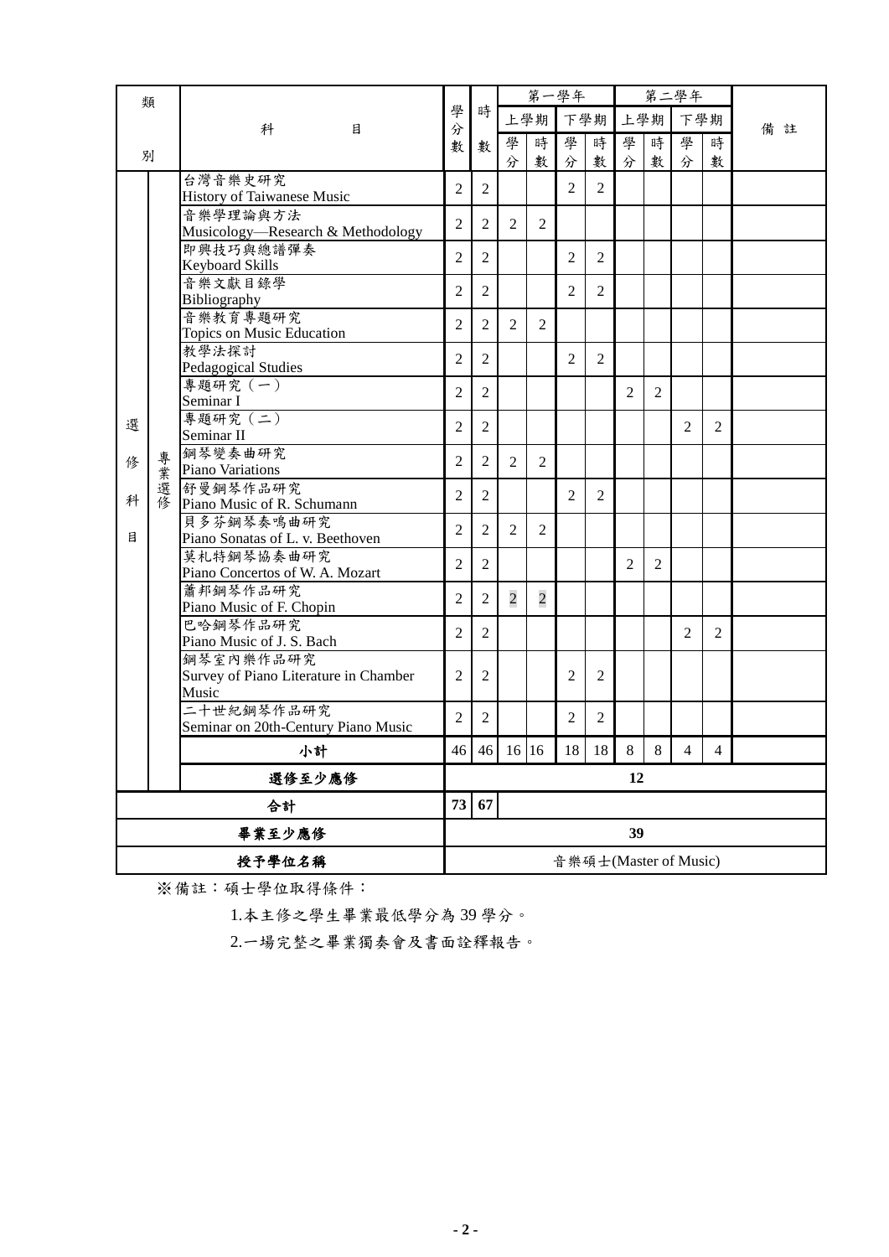| 類      |    |                                               |                |                |                | 第一學年           |                |                |                |                | 第二學年                  |                |    |
|--------|----|-----------------------------------------------|----------------|----------------|----------------|----------------|----------------|----------------|----------------|----------------|-----------------------|----------------|----|
|        |    | 科<br>目                                        | 學<br>分         | 時              |                | 上學期            |                | 下學期            |                | 上學期            | 下學期                   |                | 備註 |
|        |    |                                               | 數              | 數              | 學              | 時              | 學              | 時              | 學              | 時              | 學                     | 時              |    |
|        | 別  |                                               |                |                | 分              | 數              | 分              | 數              | 分              | 數              | 分                     | 數              |    |
|        |    | 台灣音樂史研究                                       | $\overline{2}$ | $\mathbf{2}$   |                |                | $\overline{2}$ | 2              |                |                |                       |                |    |
|        |    | History of Taiwanese Music                    |                |                |                |                |                |                |                |                |                       |                |    |
|        |    | 音樂學理論與方法<br>Musicology-Research & Methodology | 2              | 2              | $\overline{2}$ | 2              |                |                |                |                |                       |                |    |
|        |    | 即興技巧與總譜彈奏                                     |                |                |                |                |                |                |                |                |                       |                |    |
|        |    | Keyboard Skills                               | $\overline{2}$ | $\overline{c}$ |                |                | $\overline{2}$ | $\overline{2}$ |                |                |                       |                |    |
|        |    | 音樂文獻目錄學                                       | $\overline{2}$ | $\overline{2}$ |                |                | 2              | 2              |                |                |                       |                |    |
|        |    | Bibliography                                  |                |                |                |                |                |                |                |                |                       |                |    |
|        |    | 音樂教育專題研究                                      | $\overline{2}$ | $\overline{2}$ | $\overline{2}$ | $\overline{2}$ |                |                |                |                |                       |                |    |
|        |    | Topics on Music Education<br>教學法探討            |                |                |                |                |                |                |                |                |                       |                |    |
|        |    | Pedagogical Studies                           | $\overline{c}$ | 2              |                |                | 2              | $\overline{2}$ |                |                |                       |                |    |
|        |    | 專題研究 (一)                                      |                |                |                |                |                |                |                |                |                       |                |    |
|        |    | Seminar I                                     | $\overline{2}$ | $\overline{2}$ |                |                |                |                | $\overline{2}$ | $\overline{2}$ |                       |                |    |
| 選      |    | 專題研究 (二)                                      | $\overline{2}$ | $\overline{2}$ |                |                |                |                |                |                | $\overline{2}$        | 2              |    |
|        |    | Seminar II                                    |                |                |                |                |                |                |                |                |                       |                |    |
| 俢      | 專  | 鋼琴變奏曲研究                                       | $\overline{2}$ | $\overline{2}$ | 2              | $\overline{2}$ |                |                |                |                |                       |                |    |
|        | 業  | Piano Variations<br>舒曼鋼琴作品研究                  |                |                |                |                |                |                |                |                |                       |                |    |
| 科      | 選修 | Piano Music of R. Schumann                    | $\overline{2}$ | $\overline{2}$ |                |                | 2              | 2              |                |                |                       |                |    |
|        |    | 貝多芬鋼琴奏鳴曲研究                                    |                |                |                |                |                |                |                |                |                       |                |    |
| 目      |    | Piano Sonatas of L. v. Beethoven              | $\overline{2}$ | $\overline{2}$ | 2              | $\overline{2}$ |                |                |                |                |                       |                |    |
|        |    | 莫札特鋼琴協奏曲研究                                    | $\overline{2}$ | $\overline{2}$ |                |                |                |                | $\overline{2}$ | $\overline{2}$ |                       |                |    |
|        |    | Piano Concertos of W. A. Mozart               |                |                |                |                |                |                |                |                |                       |                |    |
|        |    | 蕭邦鋼琴作品研究                                      | $\overline{2}$ | $\overline{2}$ | $\overline{2}$ | $\overline{c}$ |                |                |                |                |                       |                |    |
|        |    | Piano Music of F. Chopin<br>巴哈鋼琴作品研究          |                |                |                |                |                |                |                |                |                       |                |    |
|        |    | Piano Music of J. S. Bach                     | $\overline{2}$ | $\overline{2}$ |                |                |                |                |                |                | 2                     | $\overline{2}$ |    |
|        |    | 鋼琴室內樂作品研究                                     |                |                |                |                |                |                |                |                |                       |                |    |
|        |    | Survey of Piano Literature in Chamber         | 2              | 2              |                |                | 2              | 2              |                |                |                       |                |    |
|        |    | Music                                         |                |                |                |                |                |                |                |                |                       |                |    |
|        |    | 二十世紀鋼琴作品研究                                    | $\overline{2}$ | $\overline{2}$ |                |                | $\overline{2}$ | 2              |                |                |                       |                |    |
|        |    | Seminar on 20th-Century Piano Music           |                |                |                |                |                |                |                |                |                       |                |    |
|        |    | 小計                                            |                |                |                | $46$ 46 16 16  |                | 18 18          | 8              | 8 <sup>1</sup> | $\overline{4}$        | $\overline{4}$ |    |
|        |    | 選修至少應修                                        |                | 12             |                |                |                |                |                |                |                       |                |    |
| 合計     |    | 73<br>67                                      |                |                |                |                |                |                |                |                |                       |                |    |
| 畢業至少應修 |    |                                               | 39             |                |                |                |                |                |                |                |                       |                |    |
| 授予學位名稱 |    |                                               |                |                |                |                |                |                |                |                | 音樂碩士(Master of Music) |                |    |

※備註:碩士學位取得條件:

1.本主修之學生畢業最低學分為 39 學分。

2.一場完整之畢業獨奏會及書面詮釋報告。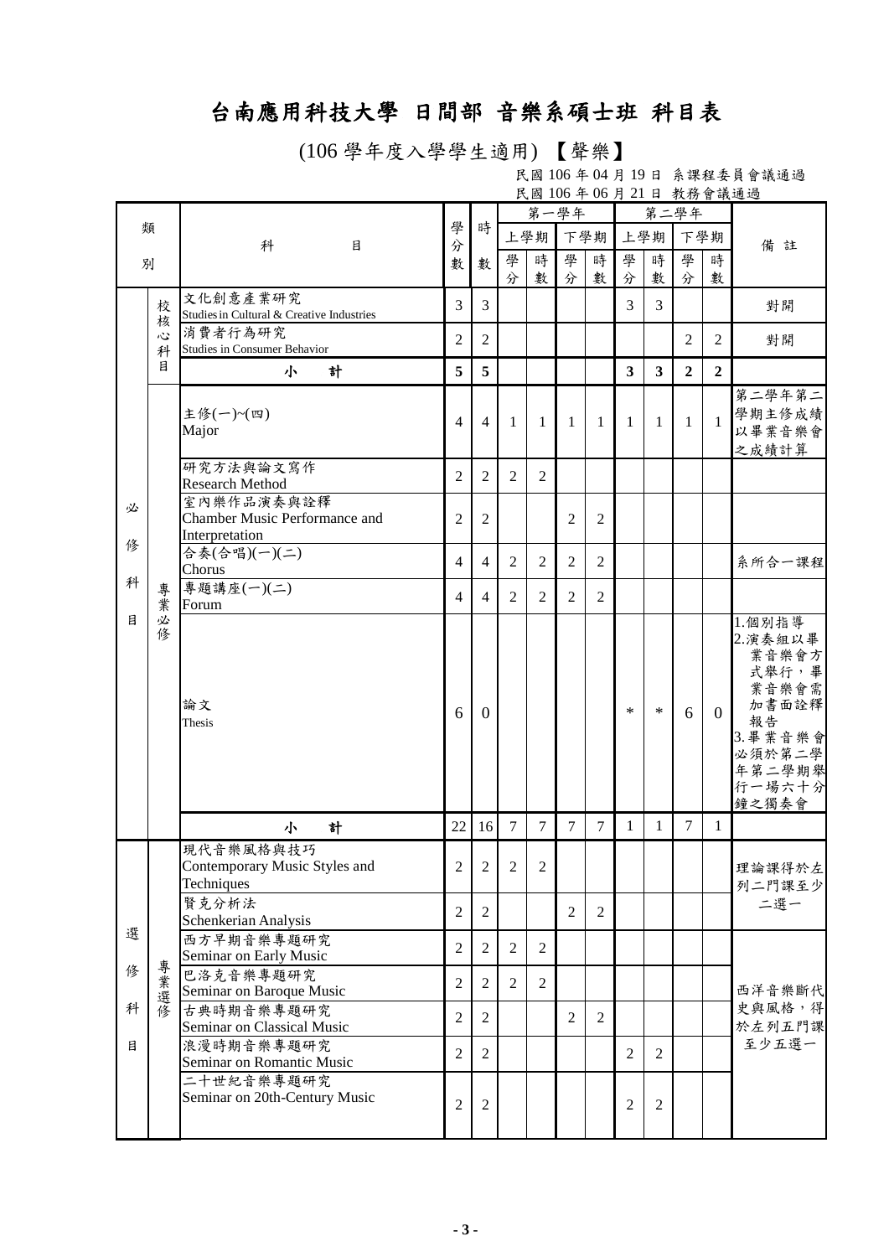## 台南應用科技大學 日間部 音樂系碩士班 科目表

(106 學年度入學學生適用) 【聲樂】

民國 106 年 04 月 19 日 系課程委員會議通過 民國 106 年 06 月 21 日 教務會議通過

|        |        |                                                                          |                                  |                                  | 第一學年           |                |                |                |                                  |                                  | 第二學年           |                |                                                                                                                |
|--------|--------|--------------------------------------------------------------------------|----------------------------------|----------------------------------|----------------|----------------|----------------|----------------|----------------------------------|----------------------------------|----------------|----------------|----------------------------------------------------------------------------------------------------------------|
| 類      |        | 科<br>目                                                                   | 學<br>分<br>數                      | 時                                |                | 上學期            |                | 下學期            |                                  | 上學期                              |                | 下學期            | 備<br>註                                                                                                         |
| 別      |        |                                                                          |                                  | 數                                | 學              | 時              | 學              | 時              | 學                                | 時                                | 學              | 時              |                                                                                                                |
|        |        | 文化創意產業研究                                                                 |                                  |                                  | 分              | 數              | 分              | 數              | 分                                | 數                                | 分              | 數              |                                                                                                                |
|        | 校<br>核 | Studies in Cultural & Creative Industries                                | 3                                | 3                                |                |                |                |                | 3                                | 3                                |                |                | 對開                                                                                                             |
|        | 心<br>科 | 消費者行為研究<br>Studies in Consumer Behavior                                  | $\overline{2}$                   | 2                                |                |                |                |                |                                  |                                  | $\overline{2}$ | $\overline{2}$ | 對開                                                                                                             |
|        | 目      | 計<br>小                                                                   | 5                                | 5                                |                |                |                |                | $\overline{\mathbf{3}}$          | 3                                | $\overline{2}$ | $\mathbf{2}$   |                                                                                                                |
|        |        | 主修(一)~(四)<br>Major                                                       | 4                                | 4                                | 1              | 1              | 1              | 1              | 1                                | 1                                | $\mathbf{1}$   | $\mathbf{1}$   | 第二學年第二<br>學期主修成績<br>以畢業音樂會<br>之成績計算                                                                            |
|        |        | 研究方法與論文寫作<br><b>Research Method</b>                                      | 2                                | $\overline{c}$                   | $\overline{2}$ | $\overline{2}$ |                |                |                                  |                                  |                |                |                                                                                                                |
| 必<br>俢 |        | 室內樂作品演奏與詮釋<br>Chamber Music Performance and<br>Interpretation            | $\overline{c}$                   | 2                                |                |                | 2              | $\mathfrak{2}$ |                                  |                                  |                |                |                                                                                                                |
|        |        | 合奏(合唱)(一)(二)<br>Chorus                                                   | 4                                | 4                                | $\overline{2}$ | $\overline{2}$ | $\overline{2}$ | $\overline{2}$ |                                  |                                  |                |                | 系所合一課程                                                                                                         |
| 科      | 專<br>葉 | 專題講座(一)(二)<br>Forum                                                      | $\overline{4}$                   | 4                                | 2              | $\overline{2}$ | $\overline{2}$ | $\overline{2}$ |                                  |                                  |                |                |                                                                                                                |
| 目      | 必<br>俢 | 論文<br>Thesis                                                             | 6                                | $\Omega$                         |                |                |                |                | $\ast$                           | $\ast$                           | 6              | $\overline{0}$ | 1.個別指導<br>2.演奏組以畢<br>業音樂會方<br>式舉行,畢<br>業音樂會需<br>加書面詮釋<br>報告<br>3. 畢業音樂會<br>必須於第二學<br>年第二學期舉<br>行一場六十分<br>鐘之獨奏會 |
|        |        | 計<br>小                                                                   | 22                               | 16                               | $\overline{7}$ | $\overline{7}$ | $\overline{7}$ | $\overline{7}$ | $\mathbf{1}$                     | $\mathbf{1}$                     | $\tau$         | 1              |                                                                                                                |
|        |        | 現代音樂風格與技巧<br>Contemporary Music Styles and<br>Techniques                 | $\overline{2}$                   | $\overline{2}$                   | $\overline{2}$ | $\overline{2}$ |                |                |                                  |                                  |                |                | 理論課得於左<br>列二門課至少                                                                                               |
|        |        | 賢克分析法<br>Schenkerian Analysis                                            | $\overline{2}$                   | $\overline{2}$                   |                |                | 2              | $\overline{2}$ |                                  |                                  |                |                | 二選一                                                                                                            |
| 選      |        | 西方早期音樂專題研究<br>Seminar on Early Music                                     | $\overline{c}$                   | $\overline{2}$                   | 2              | 2              |                |                |                                  |                                  |                |                |                                                                                                                |
| 俢      |        | 巴洛克音樂專題研究                                                                | $\overline{2}$                   | $\overline{2}$                   | $\overline{2}$ | 2              |                |                |                                  |                                  |                |                |                                                                                                                |
| 科      | 專業選修   | Seminar on Baroque Music<br>古典時期音樂專題研究                                   | $\overline{2}$                   | $\overline{2}$                   |                |                | $\overline{2}$ | $\overline{2}$ |                                  |                                  |                |                | 西洋音樂斷代<br>史與風格,得                                                                                               |
| 目      |        | Seminar on Classical Music<br>浪漫時期音樂專題研究                                 |                                  |                                  |                |                |                |                |                                  |                                  |                |                | 於左列五門課<br>至少五選一                                                                                                |
|        |        | Seminar on Romantic Music<br>二十世紀音樂專題研究<br>Seminar on 20th-Century Music | $\mathfrak{2}$<br>$\overline{2}$ | $\overline{2}$<br>$\overline{2}$ |                |                |                |                | $\mathfrak{2}$<br>$\overline{2}$ | $\overline{2}$<br>$\overline{2}$ |                |                |                                                                                                                |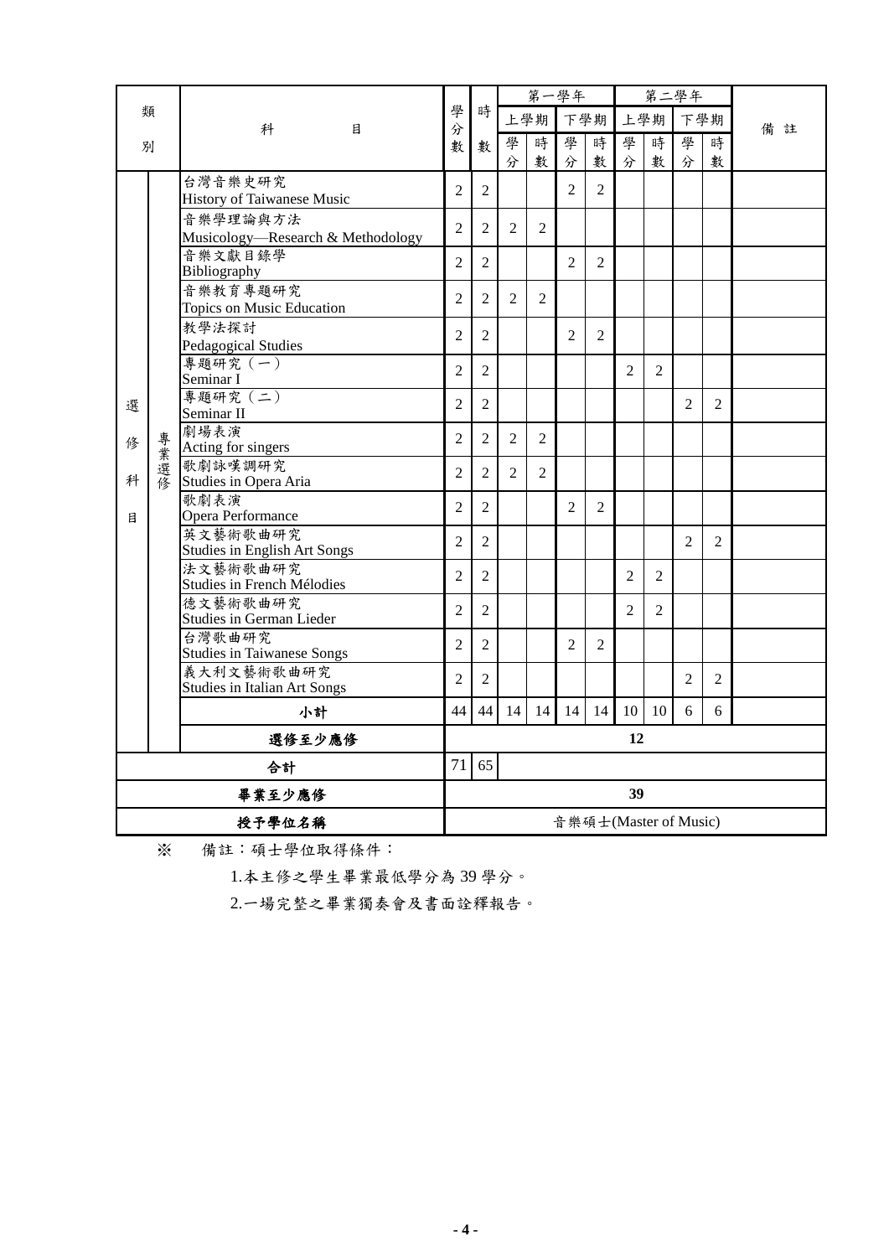|        |          |                                                   |                |                | 第一學年           |                |                |    |                |                       | 第二學年           |                |        |
|--------|----------|---------------------------------------------------|----------------|----------------|----------------|----------------|----------------|----|----------------|-----------------------|----------------|----------------|--------|
|        | 類        | 科<br>目                                            | 學<br>分         | 時              | 上學期            |                | 下學期            |    | 上學期            |                       | 下學期            |                | 備<br>註 |
|        | 別        |                                                   | 數              | 數              | 學              | 時              | 學              | 時  | 學              | 時                     | 學              | 時              |        |
|        |          |                                                   |                |                | 分              | 數              | 分              | 數  | 分              | 數                     | 分              | 數              |        |
|        |          | 台灣音樂史研究<br><b>History of Taiwanese Music</b>      | $\overline{2}$ | $\overline{2}$ |                |                | 2              | 2  |                |                       |                |                |        |
|        |          | 音樂學理論與方法<br>Musicology-Research & Methodology     | $\overline{2}$ | $\overline{c}$ | $\overline{2}$ | 2              |                |    |                |                       |                |                |        |
|        |          | 音樂文獻目錄學                                           | $\overline{2}$ | $\overline{c}$ |                |                | $\overline{2}$ | 2  |                |                       |                |                |        |
|        |          | Bibliography<br>音樂教育專題研究                          | $\overline{2}$ | $\overline{2}$ | $\overline{2}$ | 2              |                |    |                |                       |                |                |        |
|        |          | Topics on Music Education<br>教學法探討                |                |                |                |                |                |    |                |                       |                |                |        |
|        |          | Pedagogical Studies                               | $\overline{2}$ | $\overline{2}$ |                |                | $\overline{2}$ | 2  |                |                       |                |                |        |
|        |          | 專題研究 (一)<br>Seminar I                             | $\overline{2}$ | $\overline{2}$ |                |                |                |    | $\overline{2}$ | $\overline{2}$        |                |                |        |
| 選      |          | 專題研究 (二)<br>Seminar II                            | $\overline{c}$ | $\overline{c}$ |                |                |                |    |                |                       | 2              | $\overline{2}$ |        |
| 俢      |          | 劇場表演<br>Acting for singers                        | $\overline{2}$ | $\overline{2}$ | $\overline{2}$ | 2              |                |    |                |                       |                |                |        |
| 科      | 專業選<br>僖 | 歌劇詠嘆調研究<br>Studies in Opera Aria                  | $\overline{c}$ | $\overline{2}$ | $\mathfrak{D}$ | $\mathfrak{D}$ |                |    |                |                       |                |                |        |
|        |          | 歌劇表演                                              | $\overline{2}$ | $\overline{2}$ |                |                | $\mathfrak{D}$ | 2  |                |                       |                |                |        |
| 目      |          | Opera Performance<br>英文藝術歌曲研究                     | $\overline{2}$ | $\overline{2}$ |                |                |                |    |                |                       | $\mathfrak{D}$ | $\mathfrak{D}$ |        |
|        |          | <b>Studies in English Art Songs</b><br>法文藝術歌曲研究   | $\overline{2}$ | $\overline{2}$ |                |                |                |    | $\overline{2}$ | $\overline{2}$        |                |                |        |
|        |          | Studies in French Mélodies                        |                |                |                |                |                |    |                |                       |                |                |        |
|        |          | 德文藝術歌曲研究<br>Studies in German Lieder              | $\overline{2}$ | $\overline{2}$ |                |                |                |    | 2              | 2                     |                |                |        |
|        |          | 台灣歌曲研究<br><b>Studies in Taiwanese Songs</b>       | $\overline{2}$ | $\overline{2}$ |                |                | $\overline{2}$ | 2  |                |                       |                |                |        |
|        |          | 義大利文藝術歌曲研究<br><b>Studies in Italian Art Songs</b> | $\overline{2}$ | $\overline{2}$ |                |                |                |    |                |                       | $\overline{2}$ | $\overline{2}$ |        |
|        |          | 小計                                                | 44             | 44             | 14             | 14             | 14             | 14 | 10             | 10                    | 6              | 6              |        |
|        |          | 選修至少應修                                            |                |                |                |                |                |    | 12             |                       |                |                |        |
| 合計     |          | 71                                                | 65             |                |                |                |                |    |                |                       |                |                |        |
|        | 畢業至少應修   |                                                   |                | 39             |                |                |                |    |                |                       |                |                |        |
| 授予學位名稱 |          |                                                   |                |                |                |                |                |    |                | 音樂碩士(Master of Music) |                |                |        |

※ 備註:碩士學位取得條件:

1.本主修之學生畢業最低學分為 39 學分。

2.一場完整之畢業獨奏會及書面詮釋報告。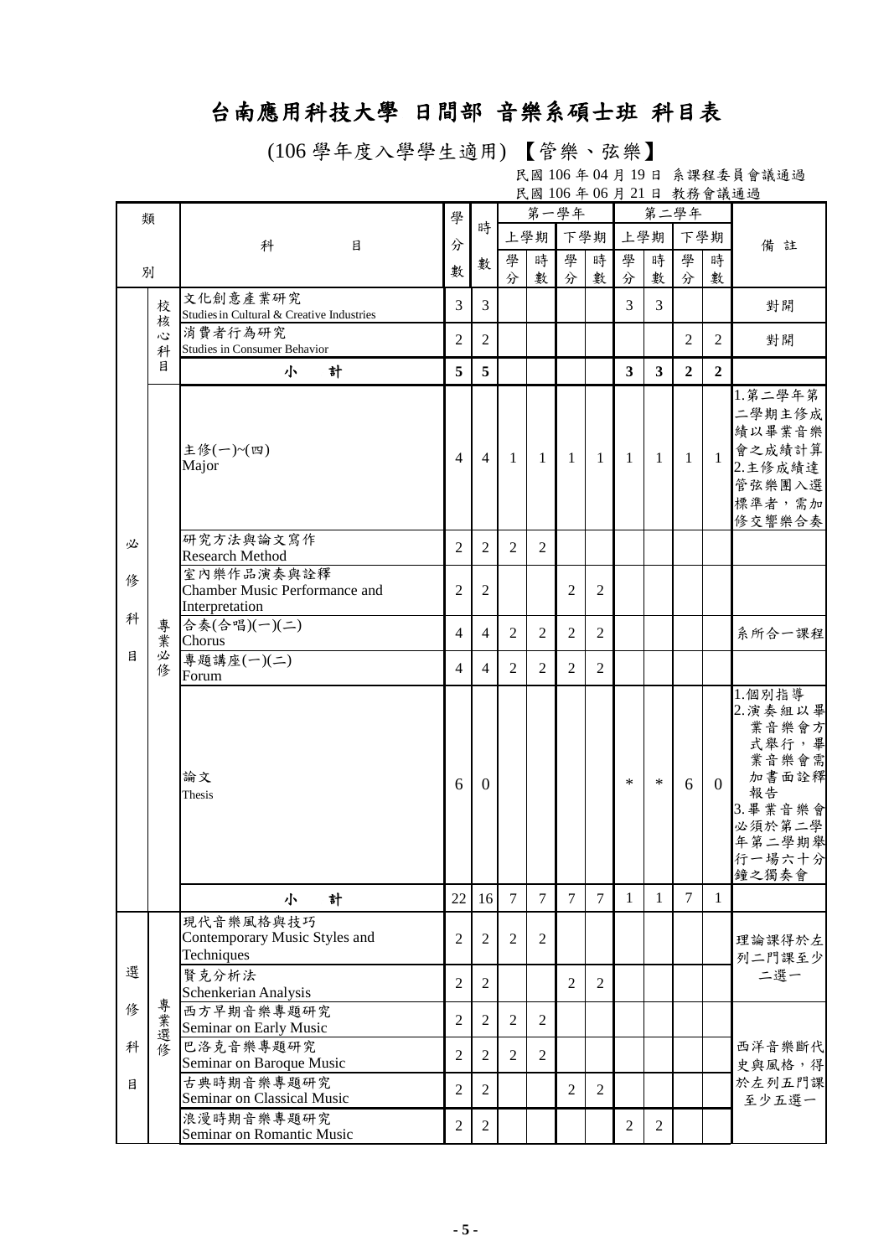## 台南應用科技大學 日間部 音樂系碩士班 科目表

(106 學年度入學學生適用) 【管樂、弦樂】

民國 106 年 04 月 19 日 系課程委員會議通過 民國 106 年 06 月 21 日 教務會議通過

| 類 |        |                                                      | 學              |                  | 第一學年           |                |                |                |                         |                         | 第二學年           |                |                   |
|---|--------|------------------------------------------------------|----------------|------------------|----------------|----------------|----------------|----------------|-------------------------|-------------------------|----------------|----------------|-------------------|
|   |        |                                                      |                | 時                |                | 上學期            | 下學期            |                |                         | 上學期                     |                | 下學期            |                   |
|   |        | 科<br>目                                               | 分              | 數                | 學              | 時              | 學              | 時              | 學                       | 時                       | 學              | 時              | 備註                |
| 別 |        |                                                      | 數              |                  | 分              | 數              | 分              | 數              | 分                       | 數                       | 分              | 數              |                   |
|   | 校      | 文化創意產業研究                                             | 3              | $\overline{3}$   |                |                |                |                | 3                       | 3                       |                |                | 對開                |
|   | 核      | Studies in Cultural & Creative Industries<br>消費者行為研究 |                |                  |                |                |                |                |                         |                         |                |                |                   |
|   | 心<br>科 | <b>Studies in Consumer Behavior</b>                  | $\overline{2}$ | 2                |                |                |                |                |                         |                         | 2              | 2              | 對開                |
|   | 目      | 計<br>小                                               | 5              | 5                |                |                |                |                | $\overline{\mathbf{3}}$ | $\overline{\mathbf{3}}$ | $\overline{2}$ | $\overline{2}$ |                   |
|   |        |                                                      |                |                  |                |                |                |                |                         |                         |                |                | 1. 第二學年第          |
|   |        |                                                      |                |                  |                |                |                |                |                         |                         |                |                | 二學期主修成            |
|   |        |                                                      |                |                  |                |                |                |                |                         |                         |                |                | 績以畢業音樂            |
|   |        | 主修(一)~(四)<br>Major                                   | $\overline{4}$ | $\overline{4}$   | -1             | $\overline{1}$ | -1             | -1             | -1                      | -1                      | $\mathbf{1}$   | $\mathbf{1}$   | 會之成績計算<br>2.主修成績達 |
|   |        |                                                      |                |                  |                |                |                |                |                         |                         |                |                | 管弦樂團入選            |
|   |        |                                                      |                |                  |                |                |                |                |                         |                         |                |                | 標準者,需加            |
|   |        |                                                      |                |                  |                |                |                |                |                         |                         |                |                | 修交響樂合奏            |
| 必 |        | 研究方法與論文寫作<br><b>Research Method</b>                  | $\overline{2}$ | $\overline{2}$   | 2              | $\overline{2}$ |                |                |                         |                         |                |                |                   |
|   |        | 室內樂作品演奏與詮釋                                           |                |                  |                |                |                |                |                         |                         |                |                |                   |
| 俢 |        | Chamber Music Performance and                        | $\overline{c}$ | $\mathfrak{2}$   |                |                | $\overline{2}$ | $\overline{2}$ |                         |                         |                |                |                   |
| 科 |        | Interpretation                                       |                |                  |                |                |                |                |                         |                         |                |                |                   |
|   | 專<br>業 | 合奏(合唱)(一)(二)<br>Chorus                               | $\overline{4}$ | $\overline{4}$   | 2              | 2              | 2              | 2              |                         |                         |                |                | 系所合一課程            |
| 目 | 必      | 專題講座(一)(二)                                           |                |                  |                |                |                |                |                         |                         |                |                |                   |
|   | 修      | Forum                                                | $\overline{4}$ | 4                | 2              | 2              | $\overline{2}$ | $\overline{2}$ |                         |                         |                |                |                   |
|   |        |                                                      |                |                  |                |                |                |                |                         |                         |                |                | 1.個別指導            |
|   |        |                                                      |                |                  |                |                |                |                |                         |                         |                |                | 2. 演奏組以畢<br>業音樂會方 |
|   |        |                                                      |                |                  |                |                |                |                |                         |                         |                |                | 式舉行,畢             |
|   |        |                                                      |                |                  |                |                |                |                |                         |                         |                |                | 業音樂會需             |
|   |        | 論文                                                   | 6              | $\theta$         |                |                |                |                | $\ast$                  | $\ast$                  | 6              | $\overline{0}$ | 加書面詮釋<br>報告       |
|   |        | Thesis                                               |                |                  |                |                |                |                |                         |                         |                |                | 3. 畢業音樂會          |
|   |        |                                                      |                |                  |                |                |                |                |                         |                         |                |                | 必須於第二學            |
|   |        |                                                      |                |                  |                |                |                |                |                         |                         |                |                | 年第二學期舉            |
|   |        |                                                      |                |                  |                |                |                |                |                         |                         |                |                | 行一場六十分<br>鐘之獨奏會   |
|   |        | 計<br>小                                               | 22             | 16               | $\overline{7}$ | $\overline{7}$ | $\overline{7}$ | $\overline{7}$ | 1                       | 1                       | $\overline{7}$ | 1              |                   |
|   |        | 現代音樂風格與技巧                                            |                |                  |                |                |                |                |                         |                         |                |                |                   |
|   |        | Contemporary Music Styles and                        | $\overline{c}$ | $\mathfrak{2}$   | 2              | $\overline{2}$ |                |                |                         |                         |                |                | 理論課得於左            |
| 選 |        | Techniques                                           |                |                  |                |                |                |                |                         |                         |                |                | 列二門課至少            |
|   |        | 賢克分析法<br>Schenkerian Analysis                        | $\mathfrak{2}$ | 2                |                |                | $\overline{2}$ | 2              |                         |                         |                |                | 二選一               |
| 修 |        | 西方早期音樂專題研究                                           |                |                  |                |                |                |                |                         |                         |                |                |                   |
|   | 專業選修   | Seminar on Early Music                               | $\overline{2}$ | $\overline{2}$   | $\overline{2}$ | $\overline{2}$ |                |                |                         |                         |                |                | 西洋音樂斷代            |
| 科 |        | 巴洛克音樂專題研究                                            | $\overline{2}$ | $\overline{2}$   | 2              | $\overline{2}$ |                |                |                         |                         |                |                |                   |
|   |        | Seminar on Baroque Music<br>古典時期音樂專題研究               |                |                  |                |                |                |                |                         |                         |                |                | 史與風格,得            |
| 目 |        | Seminar on Classical Music                           | $\mathbf{2}$   | $\overline{2}$   |                |                | $\overline{2}$ | $\overline{2}$ |                         |                         |                |                | 於左列五門課<br>至少五選一   |
|   |        | 浪漫時期音樂專題研究                                           |                |                  |                |                |                |                |                         |                         |                |                |                   |
|   |        | Seminar on Romantic Music                            | $\overline{c}$ | $\boldsymbol{2}$ |                |                |                |                | $\overline{2}$          | $\overline{2}$          |                |                |                   |